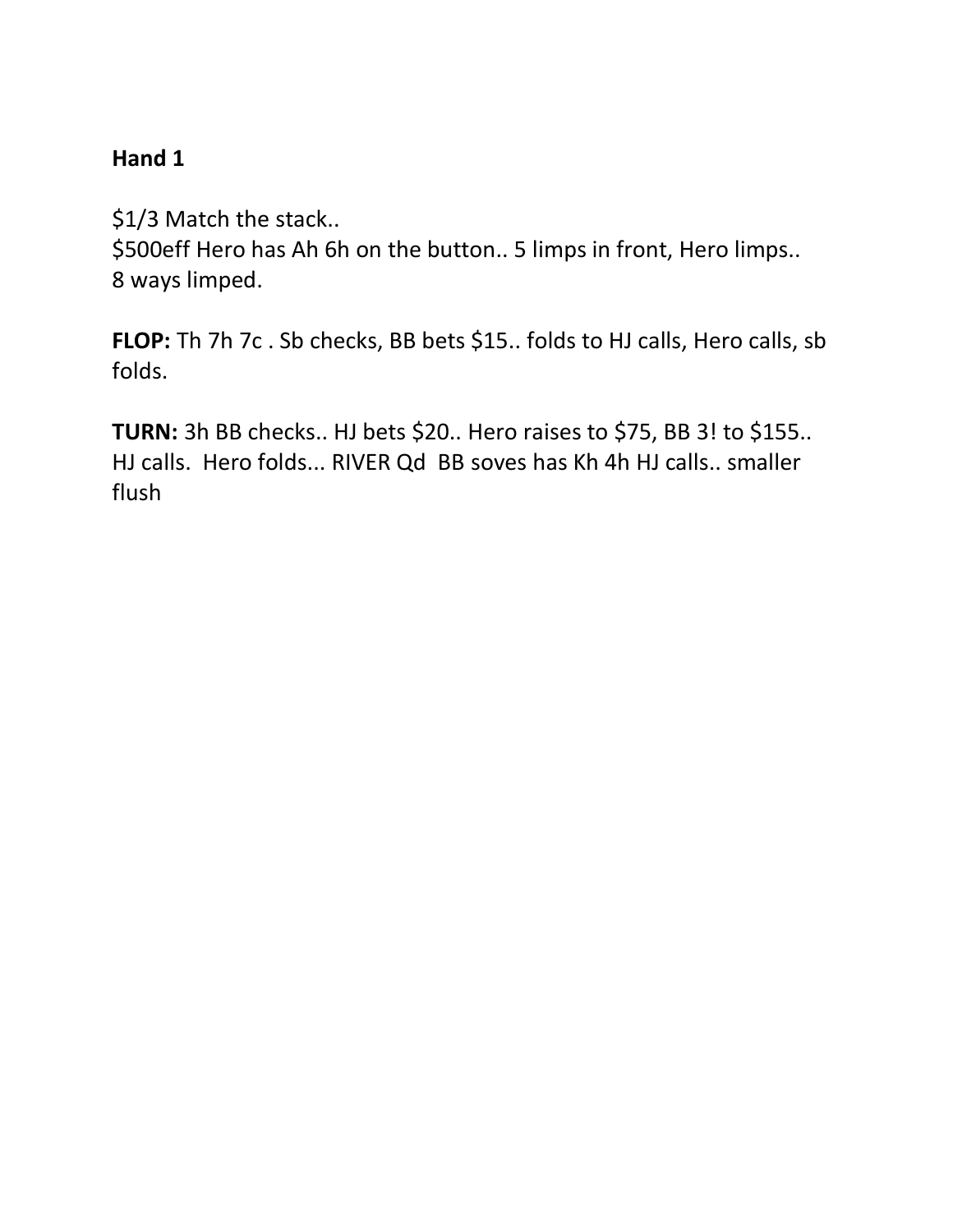\$1/3 Match the stack..

\$500eff Hero has Ah 6h on the button.. 5 limps in front, Hero limps.. 8 ways limped.

**FLOP:** Th 7h 7c . Sb checks, BB bets \$15.. folds to HJ calls, Hero calls, sb folds.

**TURN:** 3h BB checks.. HJ bets \$20.. Hero raises to \$75, BB 3! to \$155.. HJ calls. Hero folds... RIVER Qd BB soves has Kh 4h HJ calls.. smaller flush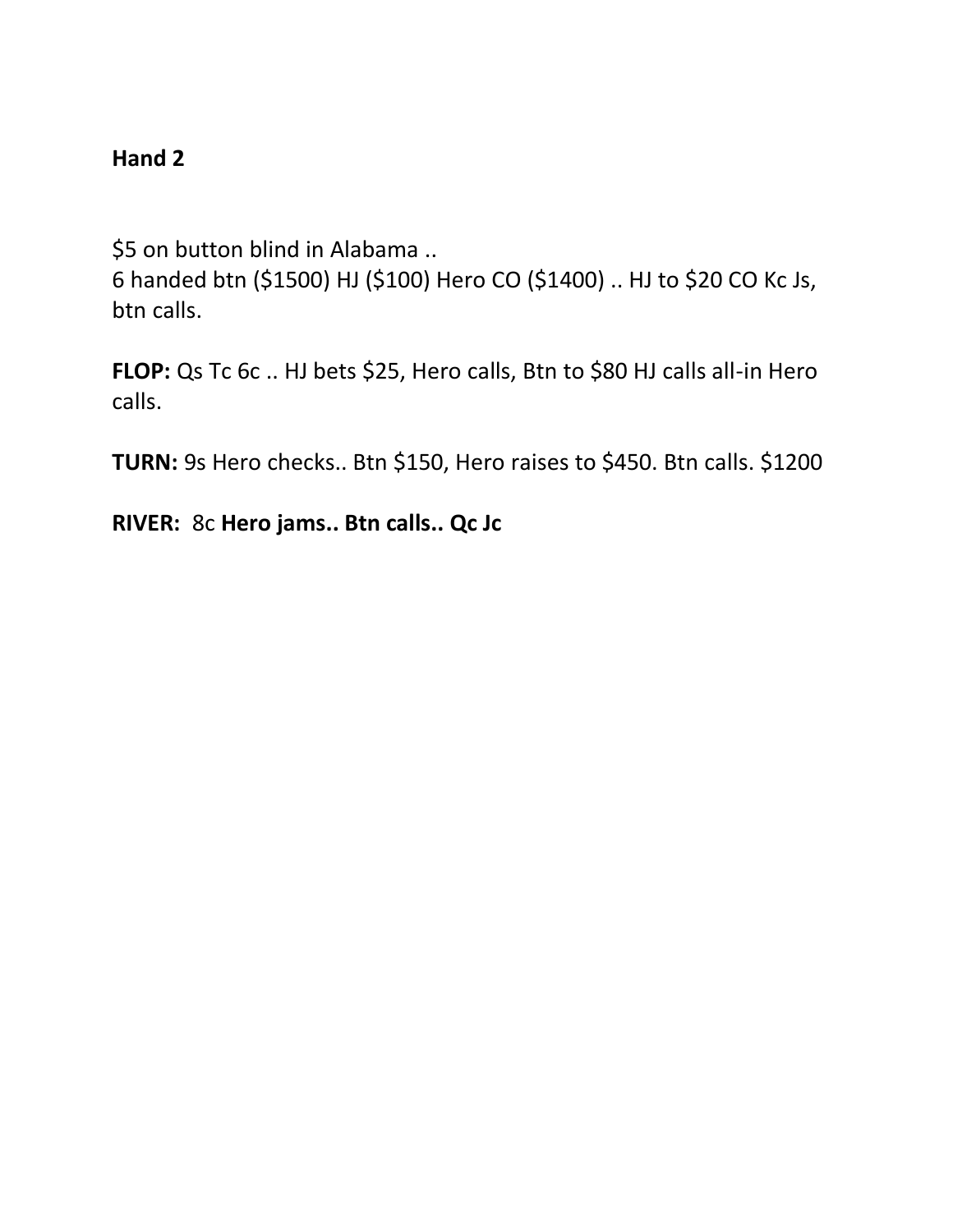\$5 on button blind in Alabama .. 6 handed btn (\$1500) HJ (\$100) Hero CO (\$1400) .. HJ to \$20 CO Kc Js, btn calls.

**FLOP:** Qs Tc 6c .. HJ bets \$25, Hero calls, Btn to \$80 HJ calls all-in Hero calls.

**TURN:** 9s Hero checks.. Btn \$150, Hero raises to \$450. Btn calls. \$1200

**RIVER:** 8c **Hero jams.. Btn calls.. Qc Jc**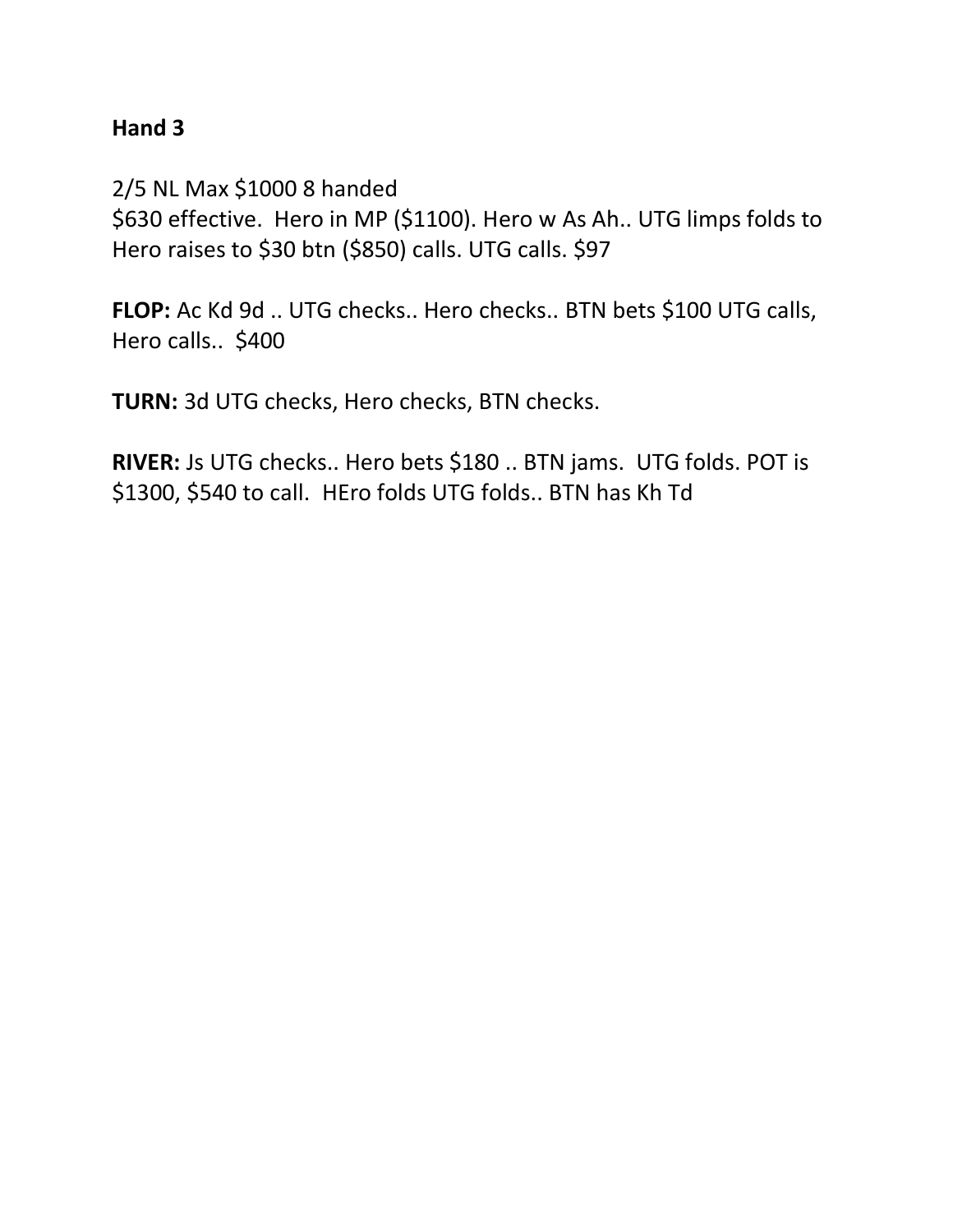2/5 NL Max \$1000 8 handed \$630 effective. Hero in MP (\$1100). Hero w As Ah.. UTG limps folds to Hero raises to \$30 btn (\$850) calls. UTG calls. \$97

**FLOP:** Ac Kd 9d .. UTG checks.. Hero checks.. BTN bets \$100 UTG calls, Hero calls.. \$400

**TURN:** 3d UTG checks, Hero checks, BTN checks.

**RIVER:** Js UTG checks.. Hero bets \$180 .. BTN jams. UTG folds. POT is \$1300, \$540 to call. HEro folds UTG folds.. BTN has Kh Td